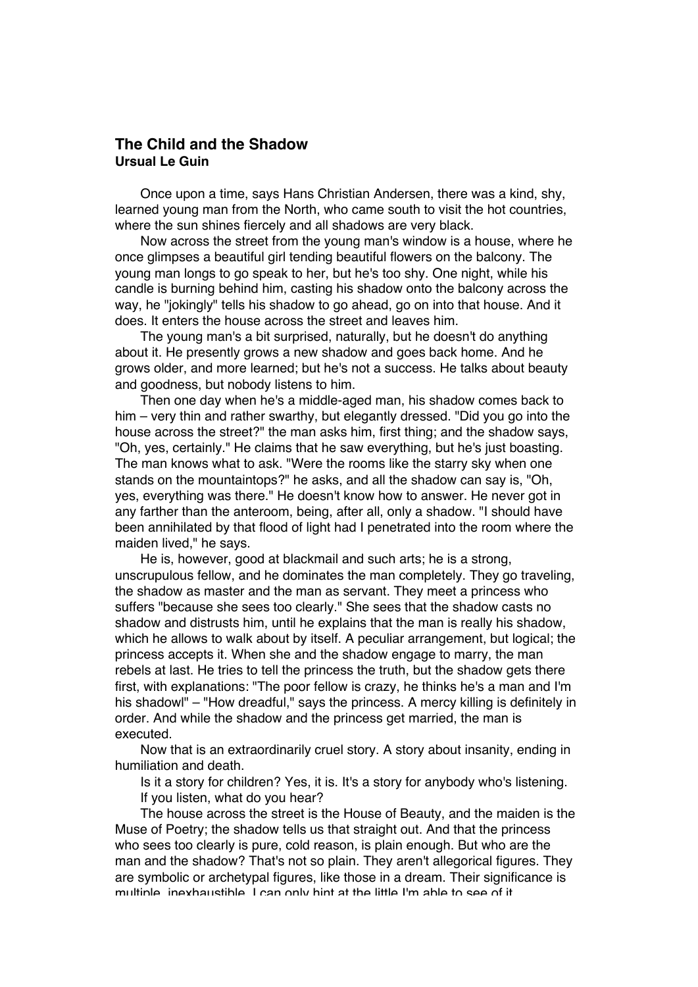## **The Child and the Shadow Ursual Le Guin**

Once upon a time, says Hans Christian Andersen, there was a kind, shy, learned young man from the North, who came south to visit the hot countries, where the sun shines fiercely and all shadows are very black.

Now across the street from the young man's window is a house, where he once glimpses a beautiful girl tending beautiful flowers on the balcony. The young man longs to go speak to her, but he's too shy. One night, while his candle is burning behind him, casting his shadow onto the balcony across the way, he "jokingly" tells his shadow to go ahead, go on into that house. And it does. It enters the house across the street and leaves him.

The young man's a bit surprised, naturally, but he doesn't do anything about it. He presently grows a new shadow and goes back home. And he grows older, and more learned; but he's not a success. He talks about beauty and goodness, but nobody listens to him.

Then one day when he's a middle-aged man, his shadow comes back to him – very thin and rather swarthy, but elegantly dressed. "Did you go into the house across the street?" the man asks him, first thing; and the shadow says, "Oh, yes, certainly." He claims that he saw everything, but he's just boasting. The man knows what to ask. "Were the rooms like the starry sky when one stands on the mountaintops?" he asks, and all the shadow can say is, "Oh, yes, everything was there." He doesn't know how to answer. He never got in any farther than the anteroom, being, after all, only a shadow. "I should have been annihilated by that flood of light had I penetrated into the room where the maiden lived," he says.

He is, however, good at blackmail and such arts; he is a strong, unscrupulous fellow, and he dominates the man completely. They go traveling, the shadow as master and the man as servant. They meet a princess who suffers "because she sees too clearly." She sees that the shadow casts no shadow and distrusts him, until he explains that the man is really his shadow, which he allows to walk about by itself. A peculiar arrangement, but logical; the princess accepts it. When she and the shadow engage to marry, the man rebels at last. He tries to tell the princess the truth, but the shadow gets there first, with explanations: "The poor fellow is crazy, he thinks he's a man and I'm his shadowl" – "How dreadful," says the princess. A mercy killing is definitely in order. And while the shadow and the princess get married, the man is executed.

Now that is an extraordinarily cruel story. A story about insanity, ending in humiliation and death.

Is it a story for children? Yes, it is. It's a story for anybody who's listening. If you listen, what do you hear?

The house across the street is the House of Beauty, and the maiden is the Muse of Poetry; the shadow tells us that straight out. And that the princess who sees too clearly is pure, cold reason, is plain enough. But who are the man and the shadow? That's not so plain. They aren't allegorical figures. They are symbolic or archetypal figures, like those in a dream. Their significance is multiple, inexhaustible. I can only hint at the little I'm able to see of it.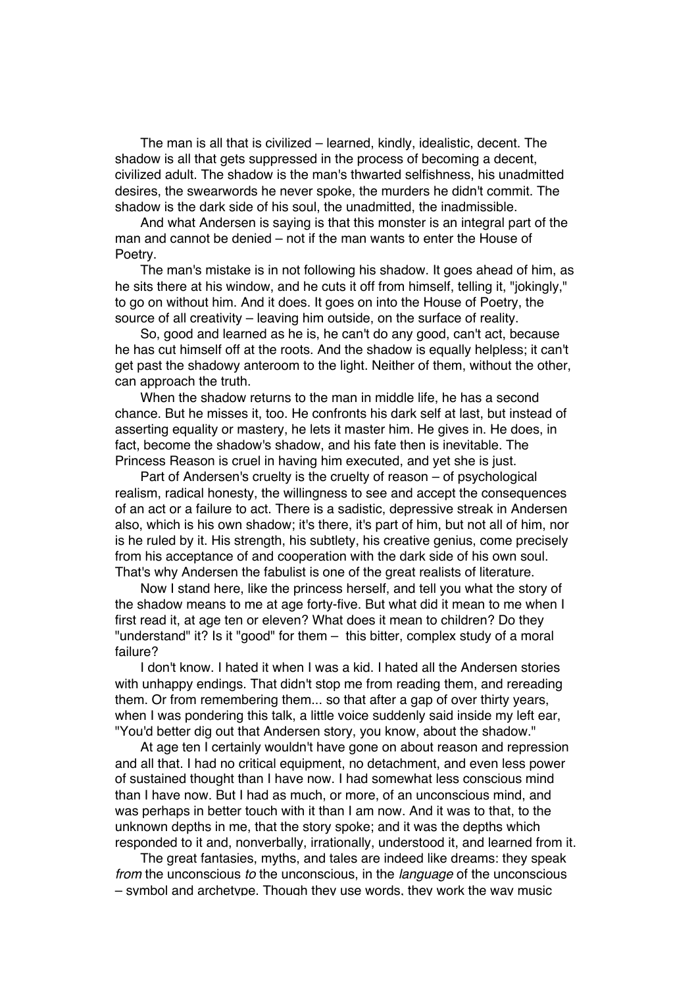The man is all that is civilized – learned, kindly, idealistic, decent. The shadow is all that gets suppressed in the process of becoming a decent, civilized adult. The shadow is the man's thwarted selfishness, his unadmitted desires, the swearwords he never spoke, the murders he didn't commit. The shadow is the dark side of his soul, the unadmitted, the inadmissible.

And what Andersen is saying is that this monster is an integral part of the man and cannot be denied – not if the man wants to enter the House of Poetry.

The man's mistake is in not following his shadow. It goes ahead of him, as he sits there at his window, and he cuts it off from himself, telling it, "jokingly," to go on without him. And it does. It goes on into the House of Poetry, the source of all creativity – leaving him outside, on the surface of reality.

So, good and learned as he is, he can't do any good, can't act, because he has cut himself off at the roots. And the shadow is equally helpless; it can't get past the shadowy anteroom to the light. Neither of them, without the other, can approach the truth.

When the shadow returns to the man in middle life, he has a second chance. But he misses it, too. He confronts his dark self at last, but instead of asserting equality or mastery, he lets it master him. He gives in. He does, in fact, become the shadow's shadow, and his fate then is inevitable. The Princess Reason is cruel in having him executed, and yet she is just.

Part of Andersen's cruelty is the cruelty of reason – of psychological realism, radical honesty, the willingness to see and accept the consequences of an act or a failure to act. There is a sadistic, depressive streak in Andersen also, which is his own shadow; it's there, it's part of him, but not all of him, nor is he ruled by it. His strength, his subtlety, his creative genius, come precisely from his acceptance of and cooperation with the dark side of his own soul. That's why Andersen the fabulist is one of the great realists of literature.

Now I stand here, like the princess herself, and tell you what the story of the shadow means to me at age forty-five. But what did it mean to me when I first read it, at age ten or eleven? What does it mean to children? Do they "understand" it? Is it "good" for them – this bitter, complex study of a moral failure?

I don't know. I hated it when I was a kid. I hated all the Andersen stories with unhappy endings. That didn't stop me from reading them, and rereading them. Or from remembering them... so that after a gap of over thirty years, when I was pondering this talk, a little voice suddenly said inside my left ear, "You'd better dig out that Andersen story, you know, about the shadow."

At age ten I certainly wouldn't have gone on about reason and repression and all that. I had no critical equipment, no detachment, and even less power of sustained thought than I have now. I had somewhat less conscious mind than I have now. But I had as much, or more, of an unconscious mind, and was perhaps in better touch with it than I am now. And it was to that, to the unknown depths in me, that the story spoke; and it was the depths which responded to it and, nonverbally, irrationally, understood it, and learned from it.

The great fantasies, myths, and tales are indeed like dreams: they speak *from* the unconscious *to* the unconscious, in the *language* of the unconscious – symbol and archetype. Though they use words, they work the way music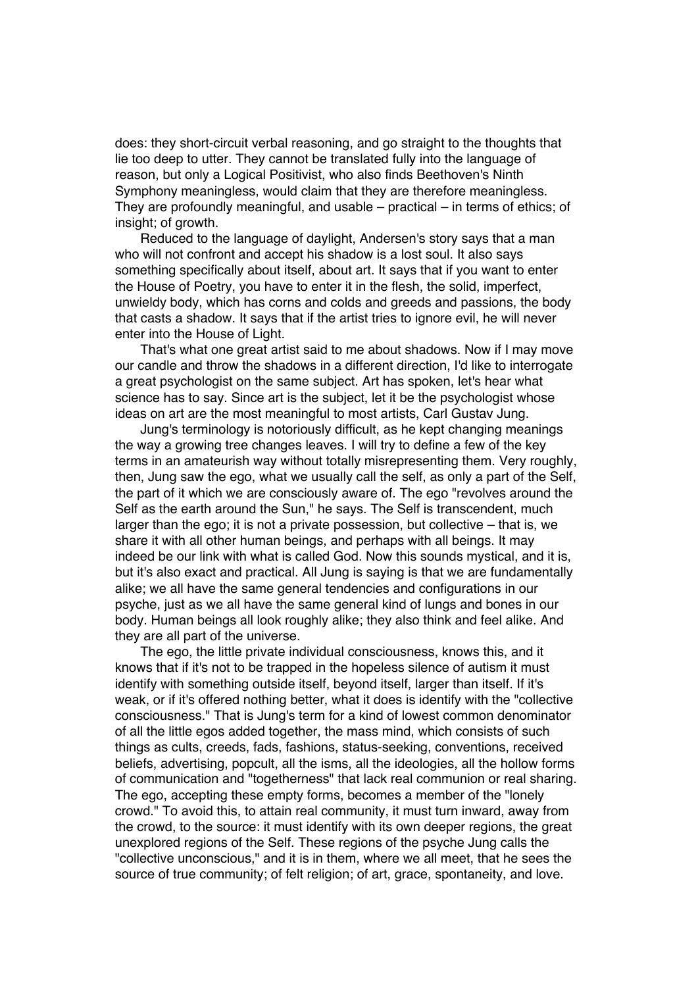does: they short-circuit verbal reasoning, and go straight to the thoughts that lie too deep to utter. They cannot be translated fully into the language of reason, but only a Logical Positivist, who also finds Beethoven's Ninth Symphony meaningless, would claim that they are therefore meaningless. They are profoundly meaningful, and usable – practical – in terms of ethics; of insight; of growth.

Reduced to the language of daylight, Andersen's story says that a man who will not confront and accept his shadow is a lost soul. It also says something specifically about itself, about art. It says that if you want to enter the House of Poetry, you have to enter it in the flesh, the solid, imperfect, unwieldy body, which has corns and colds and greeds and passions, the body that casts a shadow. It says that if the artist tries to ignore evil, he will never enter into the House of Light.

That's what one great artist said to me about shadows. Now if I may move our candle and throw the shadows in a different direction, I'd like to interrogate a great psychologist on the same subject. Art has spoken, let's hear what science has to say. Since art is the subject, let it be the psychologist whose ideas on art are the most meaningful to most artists, Carl Gustav Jung.

Jung's terminology is notoriously difficult, as he kept changing meanings the way a growing tree changes leaves. I will try to define a few of the key terms in an amateurish way without totally misrepresenting them. Very roughly, then, Jung saw the ego, what we usually call the self, as only a part of the Self, the part of it which we are consciously aware of. The ego "revolves around the Self as the earth around the Sun," he says. The Self is transcendent, much larger than the ego; it is not a private possession, but collective – that is, we share it with all other human beings, and perhaps with all beings. It may indeed be our link with what is called God. Now this sounds mystical, and it is, but it's also exact and practical. All Jung is saying is that we are fundamentally alike; we all have the same general tendencies and configurations in our psyche, just as we all have the same general kind of lungs and bones in our body. Human beings all look roughly alike; they also think and feel alike. And they are all part of the universe.

The ego, the little private individual consciousness, knows this, and it knows that if it's not to be trapped in the hopeless silence of autism it must identify with something outside itself, beyond itself, larger than itself. If it's weak, or if it's offered nothing better, what it does is identify with the "collective consciousness." That is Jung's term for a kind of lowest common denominator of all the little egos added together, the mass mind, which consists of such things as cults, creeds, fads, fashions, status-seeking, conventions, received beliefs, advertising, popcult, all the isms, all the ideologies, all the hollow forms of communication and "togetherness" that lack real communion or real sharing. The ego, accepting these empty forms, becomes a member of the "lonely crowd." To avoid this, to attain real community, it must turn inward, away from the crowd, to the source: it must identify with its own deeper regions, the great unexplored regions of the Self. These regions of the psyche Jung calls the "collective unconscious," and it is in them, where we all meet, that he sees the source of true community; of felt religion; of art, grace, spontaneity, and love.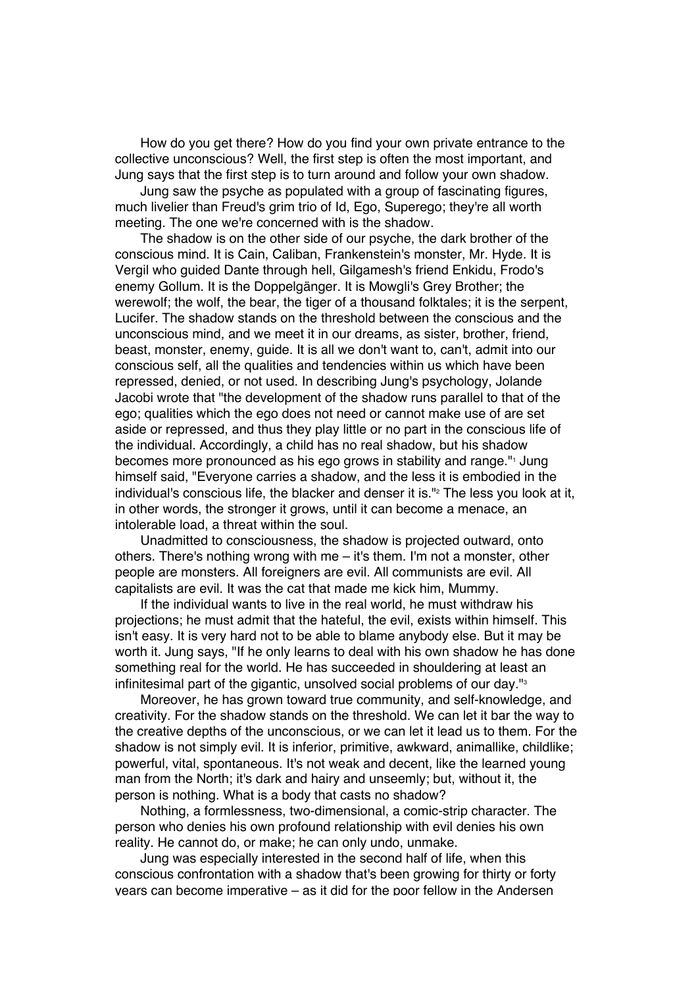How do you get there? How do you find your own private entrance to the collective unconscious? Well, the first step is often the most important, and Jung says that the first step is to turn around and follow your own shadow.

Jung saw the psyche as populated with a group of fascinating figures, much livelier than Freud's grim trio of Id, Ego, Superego; they're all worth meeting. The one we're concerned with is the shadow.

The shadow is on the other side of our psyche, the dark brother of the conscious mind. It is Cain, Caliban, Frankenstein's monster, Mr. Hyde. It is Vergil who guided Dante through hell, Gilgamesh's friend Enkidu, Frodo's enemy Gollum. It is the Doppelgänger. It is Mowgli's Grey Brother; the werewolf; the wolf, the bear, the tiger of a thousand folktales; it is the serpent, Lucifer. The shadow stands on the threshold between the conscious and the unconscious mind, and we meet it in our dreams, as sister, brother, friend, beast, monster, enemy, guide. It is all we don't want to, can't, admit into our conscious self, all the qualities and tendencies within us which have been repressed, denied, or not used. In describing Jung's psychology, Jolande Jacobi wrote that "the development of the shadow runs parallel to that of the ego; qualities which the ego does not need or cannot make use of are set aside or repressed, and thus they play little or no part in the conscious life of the individual. Accordingly, a child has no real shadow, but his shadow becomes more pronounced as his ego grows in stability and range."1 Jung himself said, "Everyone carries a shadow, and the less it is embodied in the individual's conscious life, the blacker and denser it is."2 The less you look at it, in other words, the stronger it grows, until it can become a menace, an intolerable load, a threat within the soul.

Unadmitted to consciousness, the shadow is projected outward, onto others. There's nothing wrong with me – it's them. I'm not a monster, other people are monsters. All foreigners are evil. All communists are evil. All capitalists are evil. It was the cat that made me kick him, Mummy.

If the individual wants to live in the real world, he must withdraw his projections; he must admit that the hateful, the evil, exists within himself. This isn't easy. It is very hard not to be able to blame anybody else. But it may be worth it. Jung says, "If he only learns to deal with his own shadow he has done something real for the world. He has succeeded in shouldering at least an infinitesimal part of the gigantic, unsolved social problems of our day."3

Moreover, he has grown toward true community, and self-knowledge, and creativity. For the shadow stands on the threshold. We can let it bar the way to the creative depths of the unconscious, or we can let it lead us to them. For the shadow is not simply evil. It is inferior, primitive, awkward, animallike, childlike; powerful, vital, spontaneous. It's not weak and decent, like the learned young man from the North; it's dark and hairy and unseemly; but, without it, the person is nothing. What is a body that casts no shadow?

Nothing, a formlessness, two-dimensional, a comic-strip character. The person who denies his own profound relationship with evil denies his own reality. He cannot do, or make; he can only undo, unmake.

Jung was especially interested in the second half of life, when this conscious confrontation with a shadow that's been growing for thirty or forty years can become imperative – as it did for the poor fellow in the Andersen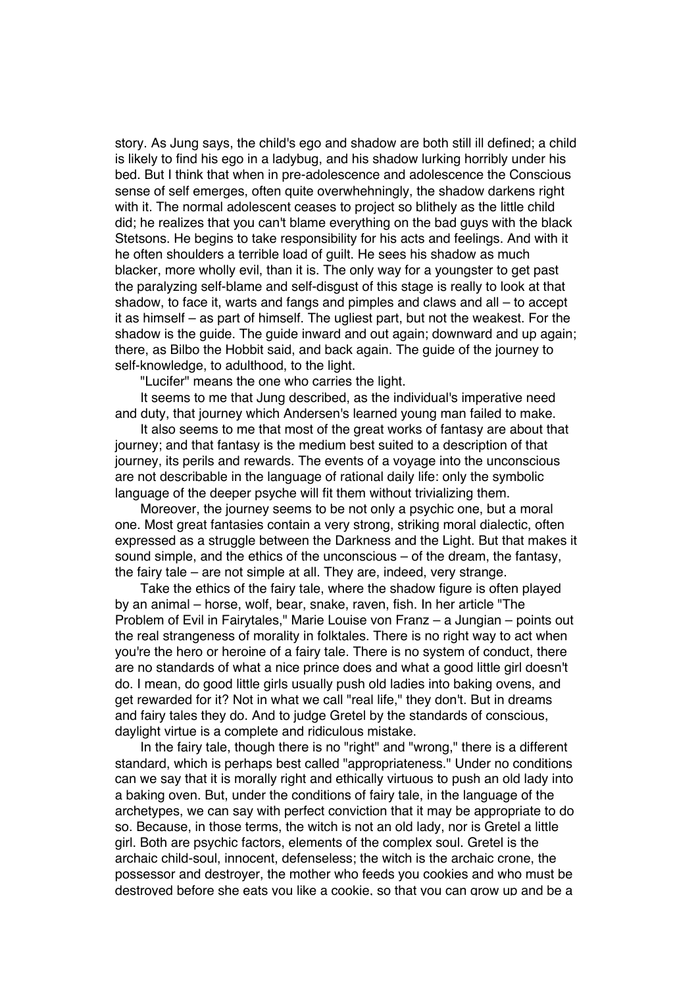story. As Jung says, the child's ego and shadow are both still ill defined; a child is likely to find his ego in a ladybug, and his shadow lurking horribly under his bed. But I think that when in pre-adolescence and adolescence the Conscious sense of self emerges, often quite overwhehningly, the shadow darkens right with it. The normal adolescent ceases to project so blithely as the little child did; he realizes that you can't blame everything on the bad guys with the black Stetsons. He begins to take responsibility for his acts and feelings. And with it he often shoulders a terrible load of guilt. He sees his shadow as much blacker, more wholly evil, than it is. The only way for a youngster to get past the paralyzing self-blame and self-disgust of this stage is really to look at that shadow, to face it, warts and fangs and pimples and claws and all – to accept it as himself – as part of himself. The ugliest part, but not the weakest. For the shadow is the guide. The guide inward and out again; downward and up again; there, as Bilbo the Hobbit said, and back again. The guide of the journey to self-knowledge, to adulthood, to the light.

"Lucifer" means the one who carries the light.

It seems to me that Jung described, as the individual's imperative need and duty, that journey which Andersen's learned young man failed to make.

It also seems to me that most of the great works of fantasy are about that journey; and that fantasy is the medium best suited to a description of that journey, its perils and rewards. The events of a voyage into the unconscious are not describable in the language of rational daily life: only the symbolic language of the deeper psyche will fit them without trivializing them.

Moreover, the journey seems to be not only a psychic one, but a moral one. Most great fantasies contain a very strong, striking moral dialectic, often expressed as a struggle between the Darkness and the Light. But that makes it sound simple, and the ethics of the unconscious – of the dream, the fantasy, the fairy tale – are not simple at all. They are, indeed, very strange.

Take the ethics of the fairy tale, where the shadow figure is often played by an animal – horse, wolf, bear, snake, raven, fish. In her article "The Problem of Evil in Fairytales," Marie Louise von Franz – a Jungian – points out the real strangeness of morality in folktales. There is no right way to act when you're the hero or heroine of a fairy tale. There is no system of conduct, there are no standards of what a nice prince does and what a good little girl doesn't do. I mean, do good little girls usually push old ladies into baking ovens, and get rewarded for it? Not in what we call "real life," they don't. But in dreams and fairy tales they do. And to judge Gretel by the standards of conscious, daylight virtue is a complete and ridiculous mistake.

In the fairy tale, though there is no "right" and "wrong," there is a different standard, which is perhaps best called "appropriateness." Under no conditions can we say that it is morally right and ethically virtuous to push an old lady into a baking oven. But, under the conditions of fairy tale, in the language of the archetypes, we can say with perfect conviction that it may be appropriate to do so. Because, in those terms, the witch is not an old lady, nor is Gretel a little girl. Both are psychic factors, elements of the complex soul. Gretel is the archaic child-soul, innocent, defenseless; the witch is the archaic crone, the possessor and destroyer, the mother who feeds you cookies and who must be destroyed before she eats you like a cookie, so that you can grow up and be a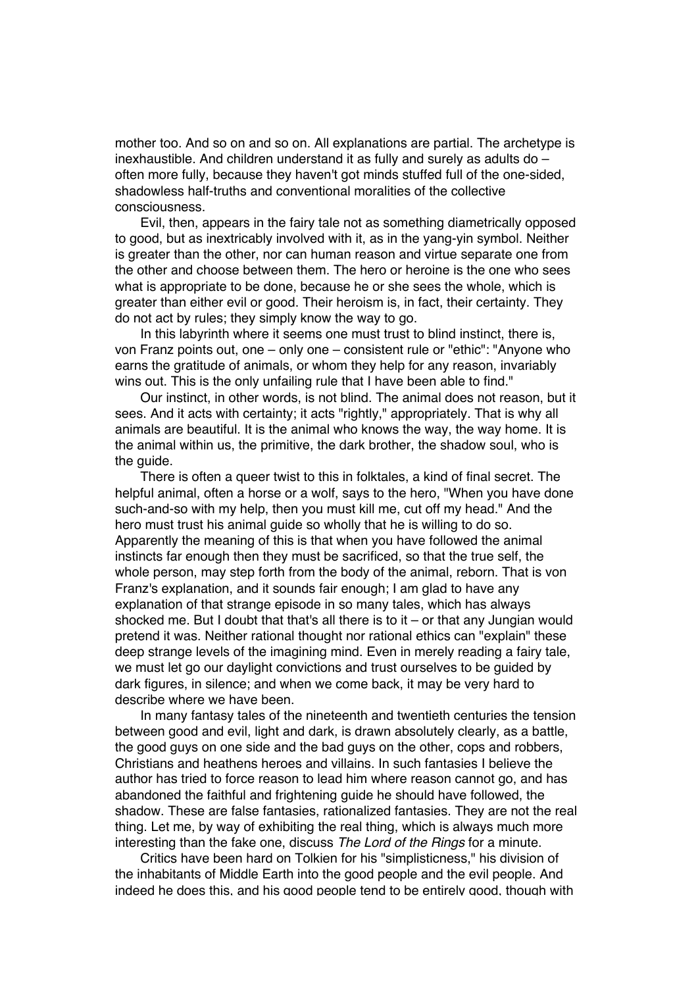mother too. And so on and so on. All explanations are partial. The archetype is inexhaustible. And children understand it as fully and surely as adults do – often more fully, because they haven't got minds stuffed full of the one-sided, shadowless half-truths and conventional moralities of the collective consciousness.

Evil, then, appears in the fairy tale not as something diametrically opposed to good, but as inextricably involved with it, as in the yang-yin symbol. Neither is greater than the other, nor can human reason and virtue separate one from the other and choose between them. The hero or heroine is the one who sees what is appropriate to be done, because he or she sees the whole, which is greater than either evil or good. Their heroism is, in fact, their certainty. They do not act by rules; they simply know the way to go.

In this labyrinth where it seems one must trust to blind instinct, there is, von Franz points out, one – only one – consistent rule or "ethic": "Anyone who earns the gratitude of animals, or whom they help for any reason, invariably wins out. This is the only unfailing rule that I have been able to find."

Our instinct, in other words, is not blind. The animal does not reason, but it sees. And it acts with certainty; it acts "rightly," appropriately. That is why all animals are beautiful. It is the animal who knows the way, the way home. It is the animal within us, the primitive, the dark brother, the shadow soul, who is the quide.

There is often a queer twist to this in folktales, a kind of final secret. The helpful animal, often a horse or a wolf, says to the hero, "When you have done such-and-so with my help, then you must kill me, cut off my head." And the hero must trust his animal guide so wholly that he is willing to do so. Apparently the meaning of this is that when you have followed the animal instincts far enough then they must be sacrificed, so that the true self, the whole person, may step forth from the body of the animal, reborn. That is von Franz's explanation, and it sounds fair enough; I am glad to have any explanation of that strange episode in so many tales, which has always shocked me. But I doubt that that's all there is to it – or that any Jungian would pretend it was. Neither rational thought nor rational ethics can "explain" these deep strange levels of the imagining mind. Even in merely reading a fairy tale, we must let go our daylight convictions and trust ourselves to be guided by dark figures, in silence; and when we come back, it may be very hard to describe where we have been.

In many fantasy tales of the nineteenth and twentieth centuries the tension between good and evil, light and dark, is drawn absolutely clearly, as a battle, the good guys on one side and the bad guys on the other, cops and robbers, Christians and heathens heroes and villains. In such fantasies I believe the author has tried to force reason to lead him where reason cannot go, and has abandoned the faithful and frightening guide he should have followed, the shadow. These are false fantasies, rationalized fantasies. They are not the real thing. Let me, by way of exhibiting the real thing, which is always much more interesting than the fake one, discuss *The Lord of the Rings* for a minute.

Critics have been hard on Tolkien for his "simplisticness," his division of the inhabitants of Middle Earth into the good people and the evil people. And indeed he does this, and his good people tend to be entirely good, though with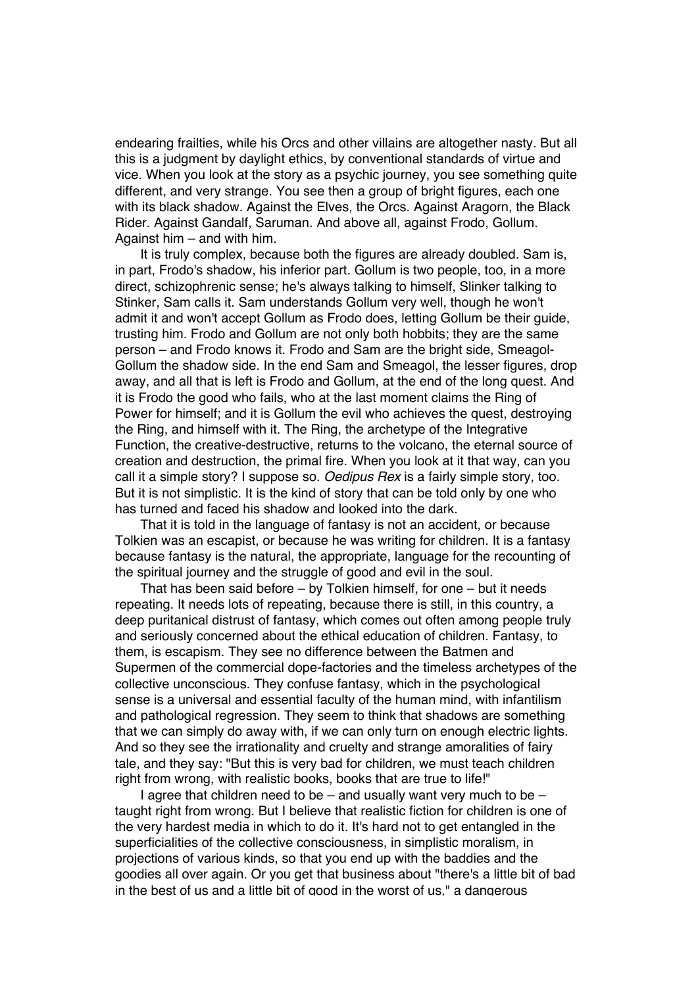endearing frailties, while his Orcs and other villains are altogether nasty. But all this is a judgment by daylight ethics, by conventional standards of virtue and vice. When you look at the story as a psychic journey, you see something quite different, and very strange. You see then a group of bright figures, each one with its black shadow. Against the Elves, the Orcs. Against Aragorn, the Black Rider. Against Gandalf, Saruman. And above all, against Frodo, Gollum. Against him – and with him.

It is truly complex, because both the figures are already doubled. Sam is, in part, Frodo's shadow, his inferior part. Gollum is two people, too, in a more direct, schizophrenic sense; he's always talking to himself, Slinker talking to Stinker, Sam calls it. Sam understands Gollum very well, though he won't admit it and won't accept Gollum as Frodo does, letting Gollum be their guide, trusting him. Frodo and Gollum are not only both hobbits; they are the same person – and Frodo knows it. Frodo and Sam are the bright side, Smeagol-Gollum the shadow side. In the end Sam and Smeagol, the lesser figures, drop away, and all that is left is Frodo and Gollum, at the end of the long quest. And it is Frodo the good who fails, who at the last moment claims the Ring of Power for himself; and it is Gollum the evil who achieves the quest, destroying the Ring, and himself with it. The Ring, the archetype of the Integrative Function, the creative-destructive, returns to the volcano, the eternal source of creation and destruction, the primal fire. When you look at it that way, can you call it a simple story? I suppose so. *Oedipus Rex* is a fairly simple story, too. But it is not simplistic. It is the kind of story that can be told only by one who has turned and faced his shadow and looked into the dark.

That it is told in the language of fantasy is not an accident, or because Tolkien was an escapist, or because he was writing for children. It is a fantasy because fantasy is the natural, the appropriate, language for the recounting of the spiritual journey and the struggle of good and evil in the soul.

That has been said before – by Tolkien himself, for one – but it needs repeating. It needs lots of repeating, because there is still, in this country, a deep puritanical distrust of fantasy, which comes out often among people truly and seriously concerned about the ethical education of children. Fantasy, to them, is escapism. They see no difference between the Batmen and Supermen of the commercial dope-factories and the timeless archetypes of the collective unconscious. They confuse fantasy, which in the psychological sense is a universal and essential faculty of the human mind, with infantilism and pathological regression. They seem to think that shadows are something that we can simply do away with, if we can only turn on enough electric lights. And so they see the irrationality and cruelty and strange amoralities of fairy tale, and they say: "But this is very bad for children, we must teach children right from wrong, with realistic books, books that are true to life!"

I agree that children need to be  $-$  and usually want very much to be  $$ taught right from wrong. But I believe that realistic fiction for children is one of the very hardest media in which to do it. It's hard not to get entangled in the superficialities of the collective consciousness, in simplistic moralism, in projections of various kinds, so that you end up with the baddies and the goodies all over again. Or you get that business about "there's a little bit of bad in the best of us and a little bit of good in the worst of us," a dangerous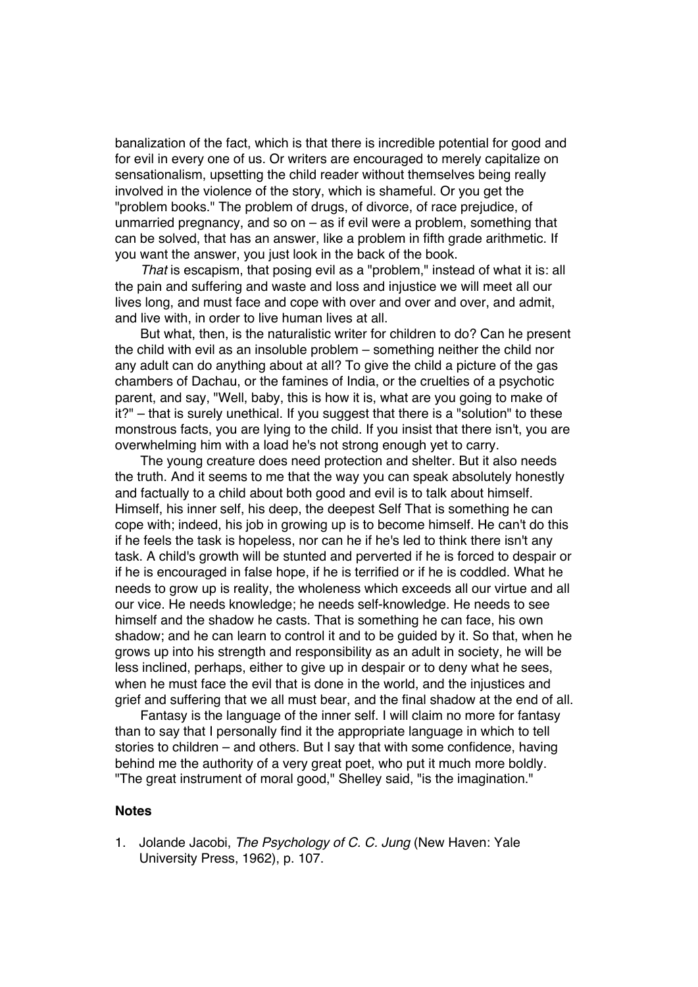banalization of the fact, which is that there is incredible potential for good and for evil in every one of us. Or writers are encouraged to merely capitalize on sensationalism, upsetting the child reader without themselves being really involved in the violence of the story, which is shameful. Or you get the "problem books." The problem of drugs, of divorce, of race prejudice, of unmarried pregnancy, and so on – as if evil were a problem, something that can be solved, that has an answer, like a problem in fifth grade arithmetic. If you want the answer, you just look in the back of the book.

*That* is escapism, that posing evil as a "problem," instead of what it is: all the pain and suffering and waste and loss and injustice we will meet all our lives long, and must face and cope with over and over and over, and admit, and live with, in order to live human lives at all.

But what, then, is the naturalistic writer for children to do? Can he present the child with evil as an insoluble problem – something neither the child nor any adult can do anything about at all? To give the child a picture of the gas chambers of Dachau, or the famines of India, or the cruelties of a psychotic parent, and say, "Well, baby, this is how it is, what are you going to make of it?" – that is surely unethical. If you suggest that there is a "solution" to these monstrous facts, you are lying to the child. If you insist that there isn't, you are overwhelming him with a load he's not strong enough yet to carry.

The young creature does need protection and shelter. But it also needs the truth. And it seems to me that the way you can speak absolutely honestly and factually to a child about both good and evil is to talk about himself. Himself, his inner self, his deep, the deepest Self That is something he can cope with; indeed, his job in growing up is to become himself. He can't do this if he feels the task is hopeless, nor can he if he's led to think there isn't any task. A child's growth will be stunted and perverted if he is forced to despair or if he is encouraged in false hope, if he is terrified or if he is coddled. What he needs to grow up is reality, the wholeness which exceeds all our virtue and all our vice. He needs knowledge; he needs self-knowledge. He needs to see himself and the shadow he casts. That is something he can face, his own shadow; and he can learn to control it and to be guided by it. So that, when he grows up into his strength and responsibility as an adult in society, he will be less inclined, perhaps, either to give up in despair or to deny what he sees, when he must face the evil that is done in the world, and the injustices and grief and suffering that we all must bear, and the final shadow at the end of all.

Fantasy is the language of the inner self. I will claim no more for fantasy than to say that I personally find it the appropriate language in which to tell stories to children – and others. But I say that with some confidence, having behind me the authority of a very great poet, who put it much more boldly. "The great instrument of moral good," Shelley said, "is the imagination."

## **Notes**

1. Jolande Jacobi, *The Psychology of C. C. Jung* (New Haven: Yale University Press, 1962), p. 107.